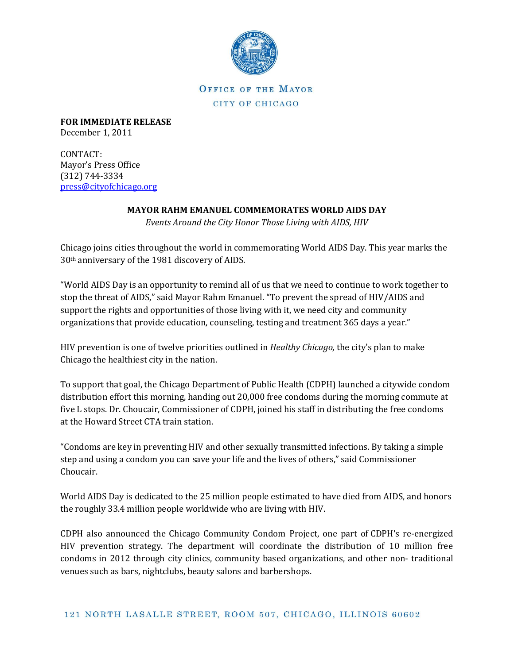

OFFICE OF THE MAYOR CITY OF CHICAGO

**FOR IMMEDIATE RELEASE** December 1, 2011

CONTACT: Mayor's Press Office (312) 744-3334 [press@cityofchicago.org](mailto:press@cityofchicago.org)

## **MAYOR RAHM EMANUEL COMMEMORATES WORLD AIDS DAY**

*Events Around the City Honor Those Living with AIDS, HIV*

Chicago joins cities throughout the world in commemorating World AIDS Day. This year marks the 30th anniversary of the 1981 discovery of AIDS.

"World AIDS Day is an opportunity to remind all of us that we need to continue to work together to stop the threat of AIDS," said Mayor Rahm Emanuel. "To prevent the spread of HIV/AIDS and support the rights and opportunities of those living with it, we need city and community organizations that provide education, counseling, testing and treatment 365 days a year."

HIV prevention is one of twelve priorities outlined in *Healthy Chicago,* the city's plan to make Chicago the healthiest city in the nation.

To support that goal, the Chicago Department of Public Health (CDPH) launched a citywide condom distribution effort this morning, handing out 20,000 free condoms during the morning commute at five L stops. Dr. Choucair, Commissioner of CDPH, joined his staff in distributing the free condoms at the Howard Street CTA train station.

"Condoms are key in preventing HIV and other sexually transmitted infections. By taking a simple step and using a condom you can save your life and the lives of others," said Commissioner Choucair.

World AIDS Day is dedicated to the 25 million people estimated to have died from AIDS, and honors the roughly 33.4 million people worldwide who are living with HIV.

CDPH also announced the Chicago Community Condom Project, one part of CDPH's re-energized HIV prevention strategy. The department will coordinate the distribution of 10 million free condoms in 2012 through city clinics, community based organizations, and other non- traditional venues such as bars, nightclubs, beauty salons and barbershops.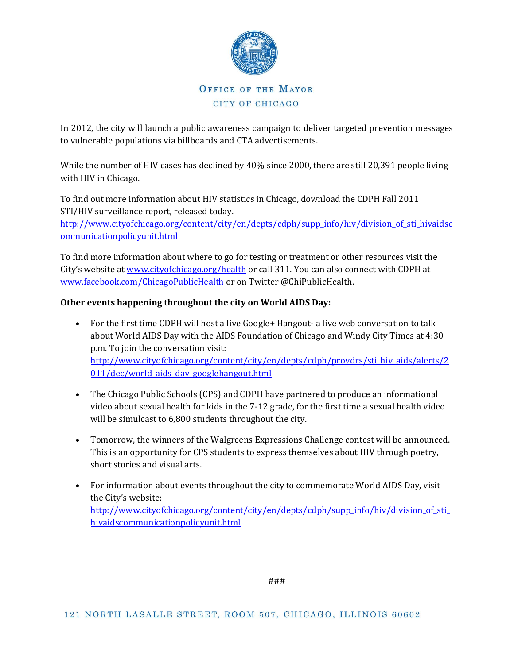

## OFFICE OF THE MAYOR CITY OF CHICAGO

In 2012, the city will launch a public awareness campaign to deliver targeted prevention messages to vulnerable populations via billboards and CTA advertisements.

While the number of HIV cases has declined by 40% since 2000, there are still 20,391 people living with HIV in Chicago.

To find out more information about HIV statistics in Chicago, download the CDPH Fall 2011 STI/HIV surveillance report, released today.

[http://www.cityofchicago.org/content/city/en/depts/cdph/supp\\_info/hiv/division\\_of\\_sti\\_hivaidsc](http://www.cityofchicago.org/content/city/en/depts/cdph/supp_info/hiv/division_of_sti_hivaidscommunicationpolicyunit.html) [ommunicationpolicyunit.html](http://www.cityofchicago.org/content/city/en/depts/cdph/supp_info/hiv/division_of_sti_hivaidscommunicationpolicyunit.html)

To find more information about where to go for testing or treatment or other resources visit the City's website at [www.cityofchicago.org/health](http://www.cityofchicago.org/health) or call 311. You can also connect with CDPH at [www.facebook.com/ChicagoPublicHealth](http://www.facebook.com/ChicagoPublicHealth) or on Twitter @ChiPublicHealth.

## **Other events happening throughout the city on World AIDS Day:**

- For the first time CDPH will host a live Google+ Hangout- a live web conversation to talk about World AIDS Day with the AIDS Foundation of Chicago and Windy City Times at 4:30 p.m. To join the conversation visit: [http://www.cityofchicago.org/content/city/en/depts/cdph/provdrs/sti\\_hiv\\_aids/alerts/2](http://www.cityofchicago.org/content/city/en/depts/cdph/provdrs/sti_hiv_aids/alerts/2011/dec/world_aids_day_googlehangout.html) [011/dec/world\\_aids\\_day\\_googlehangout.html](http://www.cityofchicago.org/content/city/en/depts/cdph/provdrs/sti_hiv_aids/alerts/2011/dec/world_aids_day_googlehangout.html)
- The Chicago Public Schools (CPS) and CDPH have partnered to produce an informational video about sexual health for kids in the 7-12 grade, for the first time a sexual health video will be simulcast to 6,800 students throughout the city.
- Tomorrow, the winners of the Walgreens Expressions Challenge contest will be announced. This is an opportunity for CPS students to express themselves about HIV through poetry, short stories and visual arts.
- For information about events throughout the city to commemorate World AIDS Day, visit the City's website: [http://www.cityofchicago.org/content/city/en/depts/cdph/supp\\_info/hiv/division\\_of\\_sti\\_](http://www.cityofchicago.org/content/city/en/depts/cdph/supp_info/hiv/division_of_sti_hivaidscommunicationpolicyunit.html) [hivaidscommunicationpolicyunit.html](http://www.cityofchicago.org/content/city/en/depts/cdph/supp_info/hiv/division_of_sti_hivaidscommunicationpolicyunit.html)

###